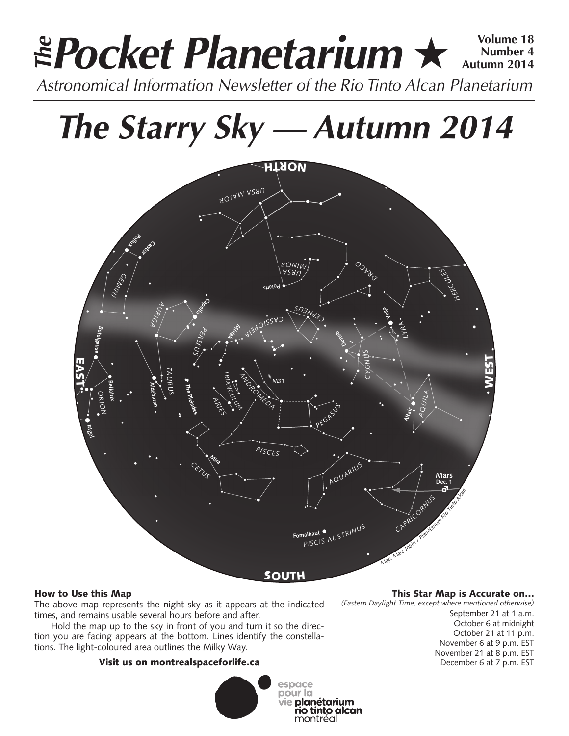# **Pocket Planetarium ★**  $\frac{Volume 18}{Number 4}$ **Number 4 Autumn 2014 EPocket Planetarium**  $\star$  Number 4<br>Astronomical Information Newsletter of the Rio Tinto Alcan Planetarium

# **The Starry Sky — Autumn 2014**



# How to Use this Map

The above map represents the night sky as it appears at the indicated times, and remains usable several hours before and after.

Hold the map up to the sky in front of you and turn it so the direction you are facing appears at the bottom. Lines identify the constellations. The light-coloured area outlines the Milky Way.

# Visit us on montrealspaceforlife.ca



rio tinto alcan montréal

This Star Map is Accurate on…

*(Eastern Daylight Time, except where mentioned otherwise)*

September 21 at 1 a.m. October 6 at midnight October 21 at 11 p.m. November 6 at 9 p.m. EST November 21 at 8 p.m. EST December 6 at 7 p.m. EST